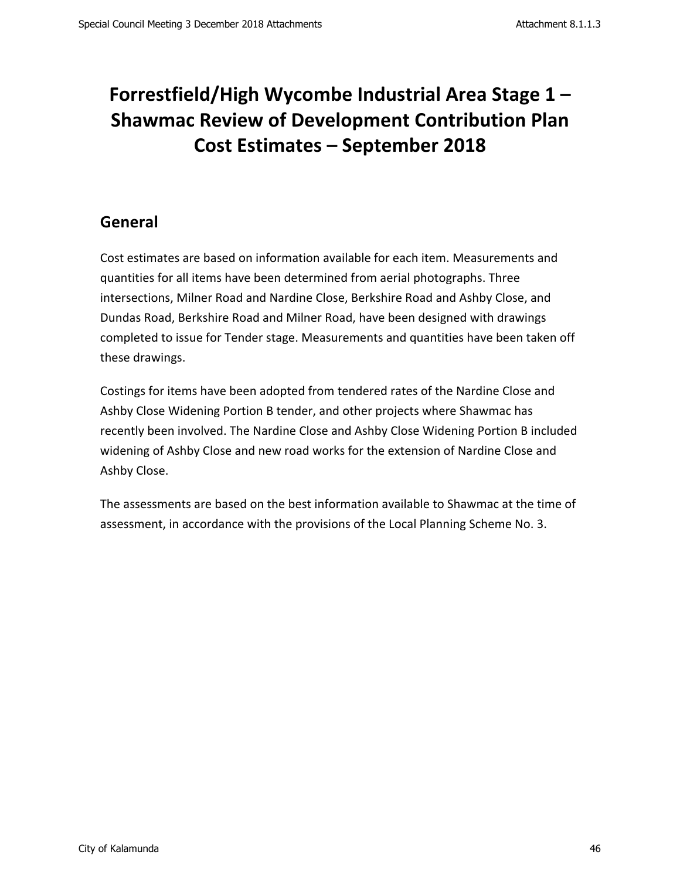# Forrestfield/High Wycombe Industrial Area Stage 1 -**Shawmac Review of Development Contribution Plan Cost Estimates – September 2018**

## **General**

Cost estimates are based on information available for each item. Measurements and quantities for all items have been determined from aerial photographs. Three intersections, Milner Road and Nardine Close, Berkshire Road and Ashby Close, and Dundas Road, Berkshire Road and Milner Road, have been designed with drawings completed to issue for Tender stage. Measurements and quantities have been taken off these drawings.

Costings for items have been adopted from tendered rates of the Nardine Close and Ashby Close Widening Portion B tender, and other projects where Shawmac has recently been involved. The Nardine Close and Ashby Close Widening Portion B included widening of Ashby Close and new road works for the extension of Nardine Close and Ashby Close.

The assessments are based on the best information available to Shawmac at the time of assessment, in accordance with the provisions of the Local Planning Scheme No. 3.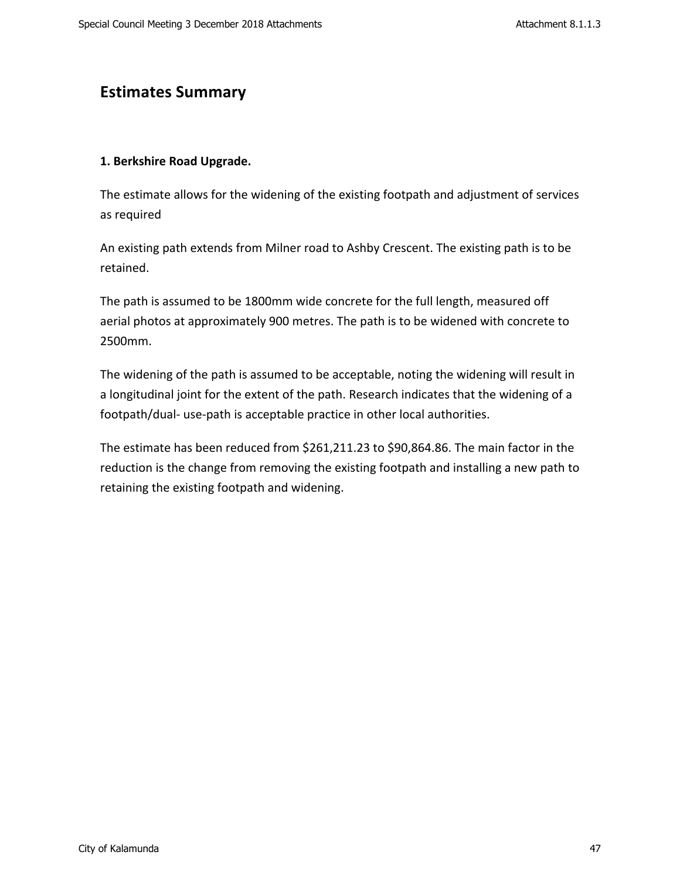#### **Estimates Summary**

#### **1. Berkshire Road Upgrade.**

The estimate allows for the widening of the existing footpath and adjustment of services as required

An existing path extends from Milner road to Ashby Crescent. The existing path is to be retained. 

The path is assumed to be 1800mm wide concrete for the full length, measured off aerial photos at approximately 900 metres. The path is to be widened with concrete to 2500mm. 

The widening of the path is assumed to be acceptable, noting the widening will result in a longitudinal joint for the extent of the path. Research indicates that the widening of a footpath/dual- use-path is acceptable practice in other local authorities.

The estimate has been reduced from  $$261,211.23$  to  $$90,864.86$ . The main factor in the reduction is the change from removing the existing footpath and installing a new path to retaining the existing footpath and widening.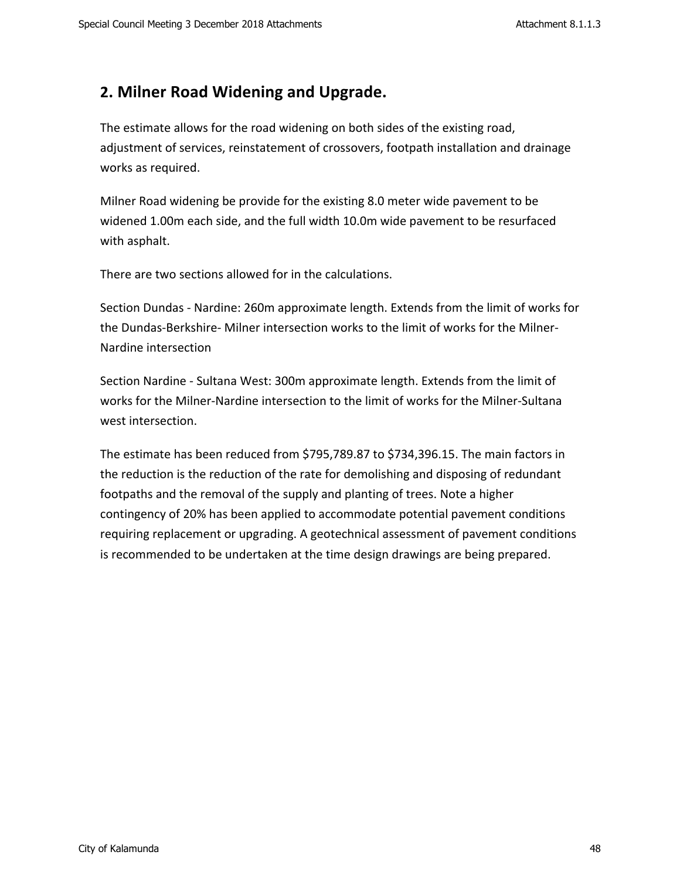#### **2. Milner Road Widening and Upgrade.**

The estimate allows for the road widening on both sides of the existing road, adjustment of services, reinstatement of crossovers, footpath installation and drainage works as required.

Milner Road widening be provide for the existing 8.0 meter wide pavement to be widened 1.00m each side, and the full width 10.0m wide pavement to be resurfaced with asphalt.

There are two sections allowed for in the calculations.

Section Dundas - Nardine: 260m approximate length. Extends from the limit of works for the Dundas-Berkshire- Milner intersection works to the limit of works for the Milner-Nardine intersection

Section Nardine - Sultana West: 300m approximate length. Extends from the limit of works for the Milner-Nardine intersection to the limit of works for the Milner-Sultana west intersection.

The estimate has been reduced from \$795,789.87 to \$734,396.15. The main factors in the reduction is the reduction of the rate for demolishing and disposing of redundant footpaths and the removal of the supply and planting of trees. Note a higher contingency of 20% has been applied to accommodate potential pavement conditions requiring replacement or upgrading. A geotechnical assessment of pavement conditions is recommended to be undertaken at the time design drawings are being prepared.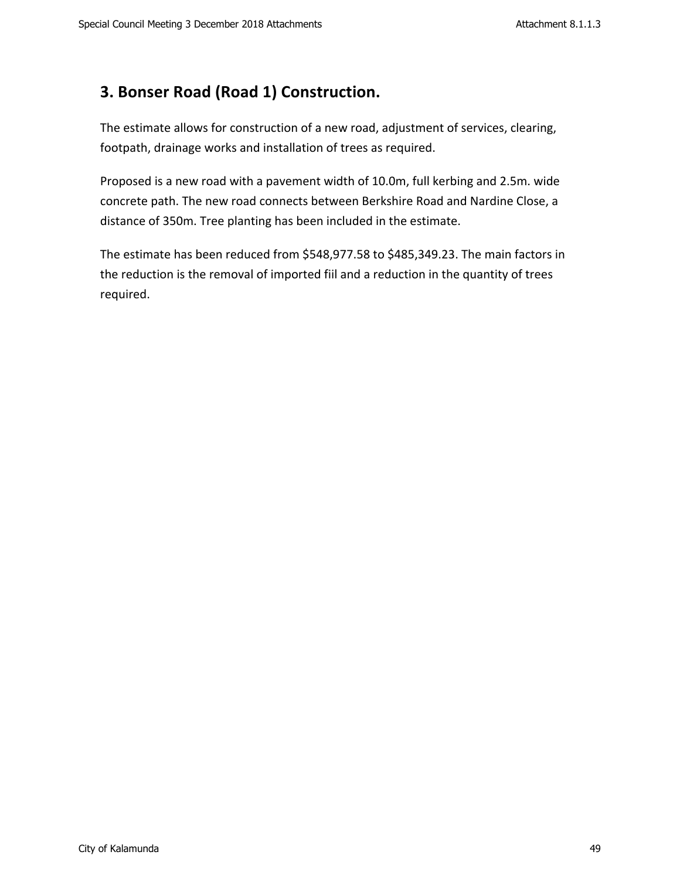# **3. Bonser Road (Road 1) Construction.**

The estimate allows for construction of a new road, adjustment of services, clearing, footpath, drainage works and installation of trees as required.

Proposed is a new road with a pavement width of 10.0m, full kerbing and 2.5m. wide concrete path. The new road connects between Berkshire Road and Nardine Close, a distance of 350m. Tree planting has been included in the estimate.

The estimate has been reduced from \$548,977.58 to \$485,349.23. The main factors in the reduction is the removal of imported fiil and a reduction in the quantity of trees required.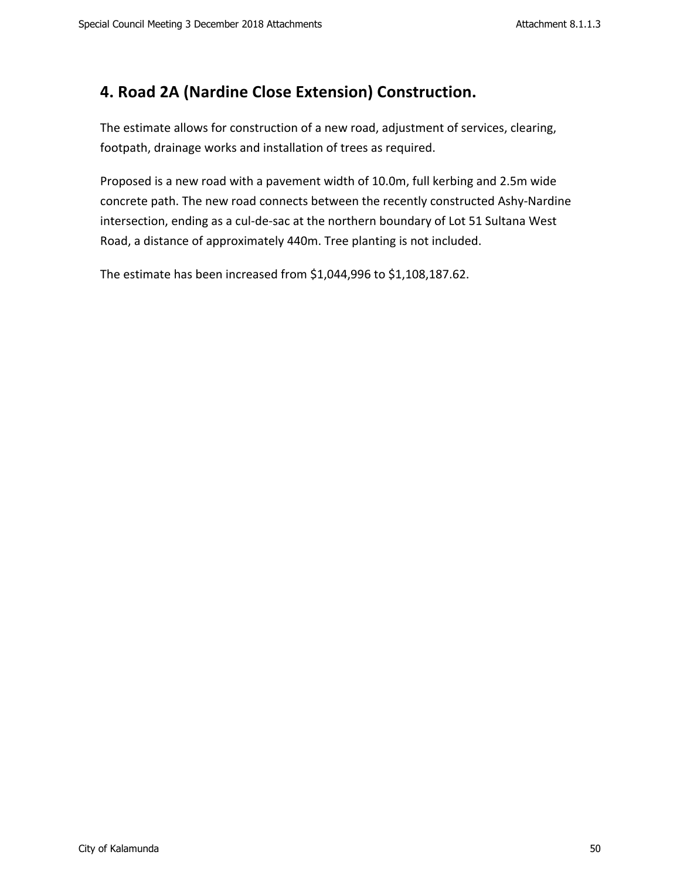# **4. Road 2A (Nardine Close Extension) Construction.**

The estimate allows for construction of a new road, adjustment of services, clearing, footpath, drainage works and installation of trees as required.

Proposed is a new road with a pavement width of 10.0m, full kerbing and 2.5m wide concrete path. The new road connects between the recently constructed Ashy-Nardine intersection, ending as a cul-de-sac at the northern boundary of Lot 51 Sultana West Road, a distance of approximately 440m. Tree planting is not included.

The estimate has been increased from \$1,044,996 to \$1,108,187.62.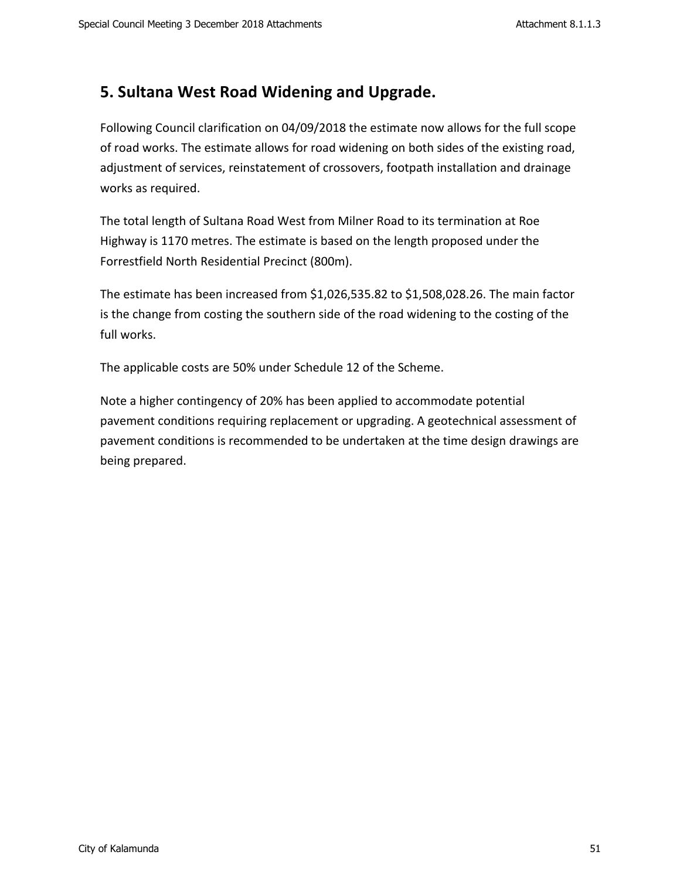### **5. Sultana West Road Widening and Upgrade.**

Following Council clarification on 04/09/2018 the estimate now allows for the full scope of road works. The estimate allows for road widening on both sides of the existing road, adjustment of services, reinstatement of crossovers, footpath installation and drainage works as required.

The total length of Sultana Road West from Milner Road to its termination at Roe Highway is 1170 metres. The estimate is based on the length proposed under the Forrestfield North Residential Precinct (800m).

The estimate has been increased from  $$1,026,535.82$  to  $$1,508,028.26$ . The main factor is the change from costing the southern side of the road widening to the costing of the full works.

The applicable costs are 50% under Schedule 12 of the Scheme.

Note a higher contingency of 20% has been applied to accommodate potential pavement conditions requiring replacement or upgrading. A geotechnical assessment of pavement conditions is recommended to be undertaken at the time design drawings are being prepared.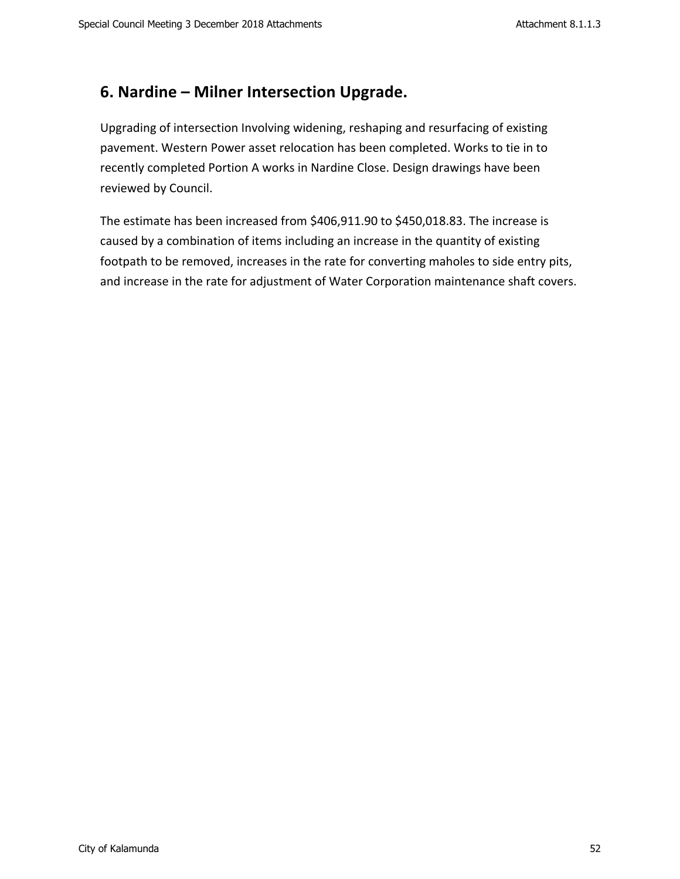## **6. Nardine – Milner Intersection Upgrade.**

Upgrading of intersection Involving widening, reshaping and resurfacing of existing pavement. Western Power asset relocation has been completed. Works to tie in to recently completed Portion A works in Nardine Close. Design drawings have been reviewed by Council.

The estimate has been increased from \$406,911.90 to \$450,018.83. The increase is caused by a combination of items including an increase in the quantity of existing footpath to be removed, increases in the rate for converting maholes to side entry pits, and increase in the rate for adjustment of Water Corporation maintenance shaft covers.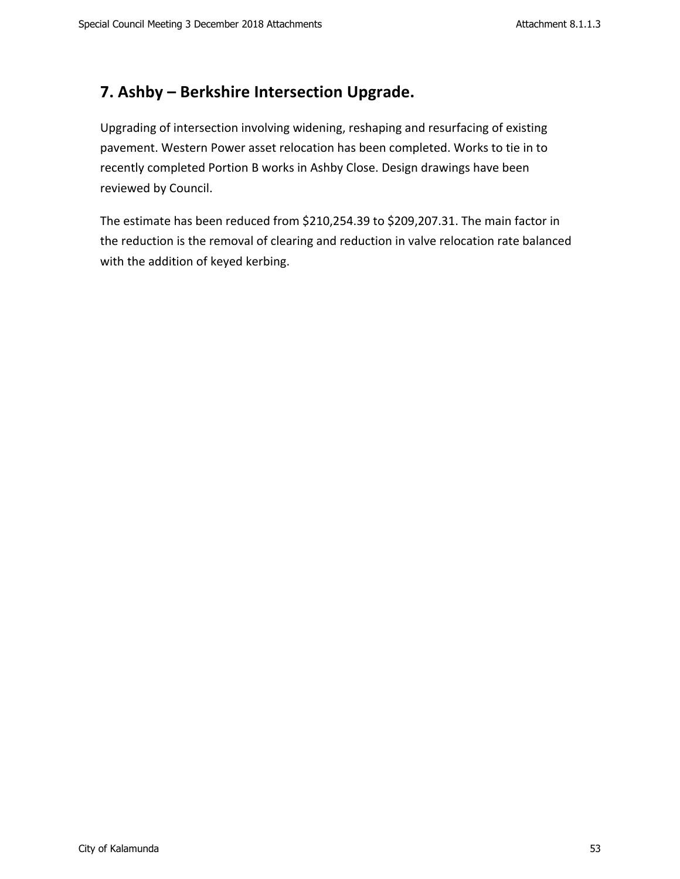# **7. Ashby – Berkshire Intersection Upgrade.**

Upgrading of intersection involving widening, reshaping and resurfacing of existing pavement. Western Power asset relocation has been completed. Works to tie in to recently completed Portion B works in Ashby Close. Design drawings have been reviewed by Council.

The estimate has been reduced from \$210,254.39 to \$209,207.31. The main factor in the reduction is the removal of clearing and reduction in valve relocation rate balanced with the addition of keyed kerbing.